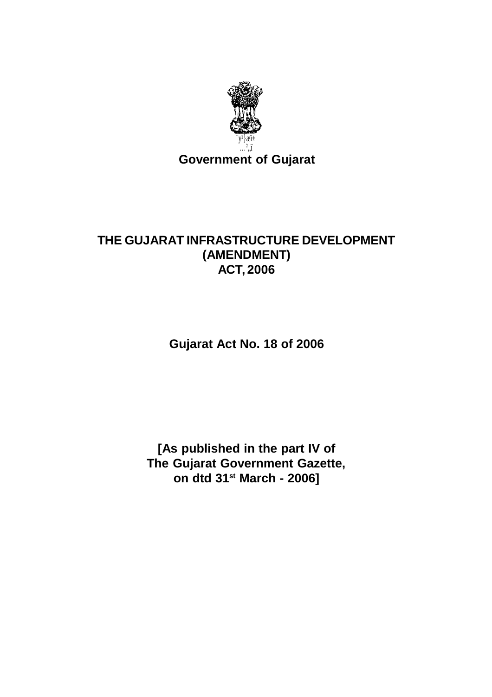

# THE GUJARAT INFRASTRUCTURE DEVELOPMENT (AMENDMENT) **ACT, 2006**

Gujarat Act No. 18 of 2006

[As published in the part IV of The Gujarat Government Gazette, on dtd 31<sup>st</sup> March - 2006]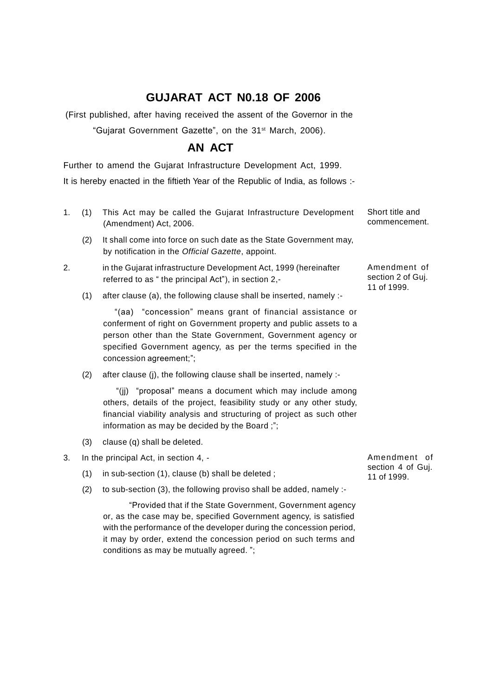## **GUJARAT ACT N0.18 OF 2006**

(First published, after having received the assent of the Governor in the

"Gujarat Government Gazette", on the 31 st March, 2006).

## **AN ACT**

Further to amend the Gujarat Infrastructure Development Act, 1999.

It is hereby enacted in the fiftieth Year of the Republic of India, as follows :-

- 1. (1) This Act may be called the Gujarat Infrastructure Development (Amendment) Act, 2006.
	- (2) It shall come into force on such date as the State Government may, by notification in the *Official Gazette*, appoint.
- 2. in the Gujarat infrastructure Development Act, 1999 (hereinafter referred to as " the principal Act"), in section 2,-
	- (1) after clause (a), the following clause shall be inserted, namely :-

"(aa) "concession" means grant of financial assistance or conferment of right on Government property and public assets to a person other than the State Government, Government agency or specified Government agency, as per the terms specified in the concession agreement;";

(2) after clause (j), the following clause shall be inserted, namely :-

"(jj) "proposal" means a document which may include among others, details of the project, feasibility study or any other study, financial viability analysis and structuring of project as such other information as may be decided by the Board ;";

- (3) clause (q) shall be deleted.
- 3. In the principal Act, in section 4,
	- (1) in sub-section (1), clause (b) shall be deleted ;
	- (2) to sub-section (3), the following proviso shall be added, namely :-

"Provided that if the State Government, Government agency or, as the case may be, specified Government agency, is satisfied with the performance of the developer during the concession period, it may by order, extend the concession period on such terms and conditions as may be mutually agreed. ";

Amendment of section 4 of Guj. 11 of 1999.

Short title and commencement.

> Amendment of section 2 of Guj. 11 of 1999.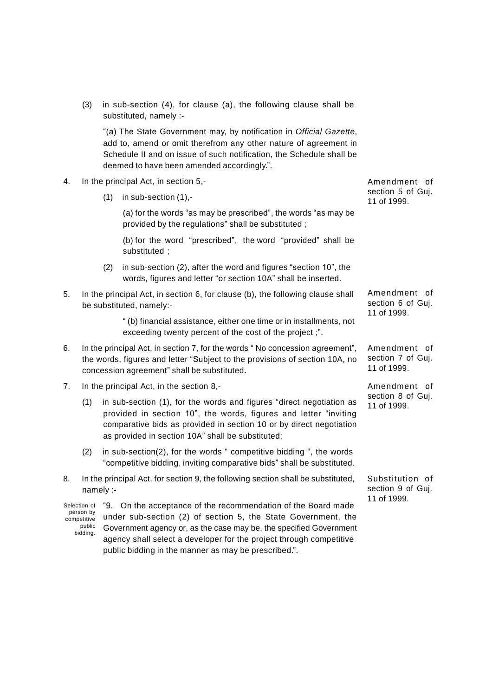(3) in sub-section (4), for clause (a), the following clause shall be substituted, namely :-

"(a) The State Government may, by notification in *Official Gazette*, add to, amend or omit therefrom any other nature of agreement in Schedule II and on issue of such notification, the Schedule shall be deemed to have been amended accordingly.".

- 4. In the principal Act, in section 5,-
	- (1) in sub-section (1),-

(a) for the words "as may be prescribed", the words "as may be provided by the regulations" shall be substituted ;

(b) for the word "prescribed", the word "provided" shall be substituted ;

- (2) in sub-section (2), after the word and figures "section 10", the words, figures and letter "or section 10A" shall be inserted.
- 5. In the principal Act, in section 6, for clause (b), the following clause shall be substituted, namely:-

" (b) financial assistance, either one time or in installments, not exceeding twenty percent of the cost of the project ;".

- 6. In the principal Act, in section 7, for the words " No concession agreement", the words, figures and letter "Subject to the provisions of section 10A, no concession agreement" shall be substituted.
- 7. In the principal Act, in the section 8,-
	- (1) in sub-section (1), for the words and figures "direct negotiation as provided in section 10", the words, figures and letter "inviting comparative bids as provided in section 10 or by direct negotiation as provided in section 10A" shall be substituted;
	- (2) in sub-section(2), for the words " competitive bidding ", the words "competitive bidding, inviting comparative bids" shall be substituted.
- 8. In the principal Act, for section 9, the following section shall be substituted, namely :-

Selection of person by competitive public bidding. "9. On the acceptance of the recommendation of the Board made under sub-section (2) of section 5, the State Government, the Government agency or, as the case may be, the specified Government agency shall select a developer for the project through competitive public bidding in the manner as may be prescribed.".

Amendment of section 5 of Guj. 11 of 1999.

Amendment of section 6 of Guj. 11 of 1999.

Amendment of section 7 of Guj. 11 of 1999.

Amendment of section 8 of Guj. 11 of 1999.

Substitution of section 9 of Guj. 11 of 1999.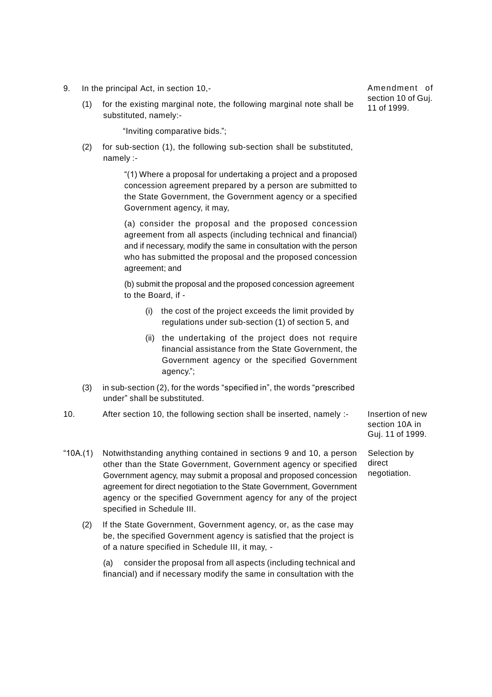- 9. In the principal Act, in section 10,-
	- (1) for the existing marginal note, the following marginal note shall be substituted, namely:-

"Inviting comparative bids.";

(2) for sub-section (1), the following sub-section shall be substituted, namely :-

> "(1) Where a proposal for undertaking a project and a proposed concession agreement prepared by a person are submitted to the State Government, the Government agency or a specified Government agency, it may,

> (a) consider the proposal and the proposed concession agreement from all aspects (including technical and financial) and if necessary, modify the same in consultation with the person who has submitted the proposal and the proposed concession agreement; and

> (b) submit the proposal and the proposed concession agreement to the Board, if -

- (i) the cost of the project exceeds the limit provided by regulations under sub-section (1) of section 5, and
- (ii) the undertaking of the project does not require financial assistance from the State Government, the Government agency or the specified Government agency.";
- (3) in sub-section (2), for the words "specified in", the words "prescribed under" shall be substituted.
- 10. After section 10, the following section shall be inserted, namely :-
- "10A.(1) Notwithstanding anything contained in sections 9 and 10, a person other than the State Government, Government agency or specified Government agency, may submit a proposal and proposed concession agreement for direct negotiation to the State Government, Government agency or the specified Government agency for any of the project specified in Schedule III.
	- (2) If the State Government, Government agency, or, as the case may be, the specified Government agency is satisfied that the project is of a nature specified in Schedule III, it may, -

(a) consider the proposal from all aspects (including technical and financial) and if necessary modify the same in consultation with the

Insertion of new section 10A in Guj. 11 of 1999.

Selection by direct negotiation.

Amendment of section 10 of Guj. 11 of 1999.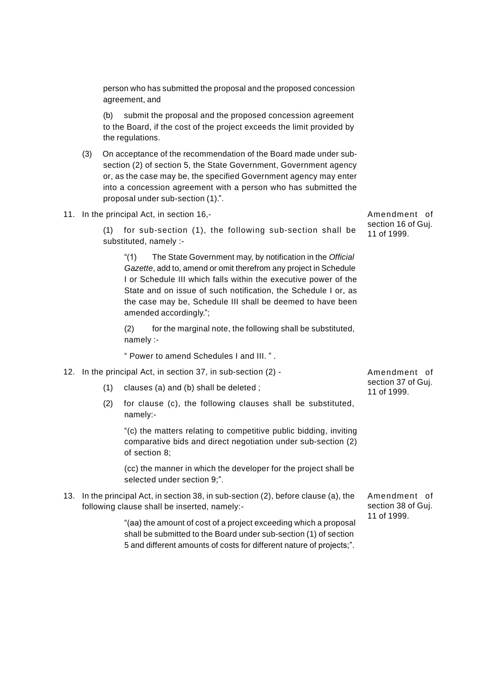person who has submitted the proposal and the proposed concession agreement, and

(b) submit the proposal and the proposed concession agreement to the Board, if the cost of the project exceeds the limit provided by the regulations.

- (3) On acceptance of the recommendation of the Board made under subsection (2) of section 5, the State Government, Government agency or, as the case may be, the specified Government agency may enter into a concession agreement with a person who has submitted the proposal under sub-section (1).".
- 11. In the principal Act, in section 16,-

(1) for sub-section (1), the following sub-section shall be substituted, namely :-

"(1) The State Government may, by notification in the *Official Gazette*, add to, amend or omit therefrom any project in Schedule I or Schedule III which falls within the executive power of the State and on issue of such notification, the Schedule I or, as the case may be, Schedule III shall be deemed to have been amended accordingly.";

(2) for the marginal note, the following shall be substituted, namely :-

" Power to amend Schedules I and III. " .

- 12. In the principal Act, in section 37, in sub-section (2)
	- (1) clauses (a) and (b) shall be deleted ;
	- (2) for clause (c), the following clauses shall be substituted, namely:-

"(c) the matters relating to competitive public bidding, inviting comparative bids and direct negotiation under sub-section (2) of section 8;

(cc) the manner in which the developer for the project shall be selected under section 9;".

13. In the principal Act, in section 38, in sub-section (2), before clause (a), the following clause shall be inserted, namely:-

> "(aa) the amount of cost of a project exceeding which a proposal shall be submitted to the Board under sub-section (1) of section 5 and different amounts of costs for different nature of projects;".

Amendment of section 37 of Guj. 11 of 1999.

Amendment of section 38 of Guj. 11 of 1999.

Amendment of section 16 of Guj. 11 of 1999.